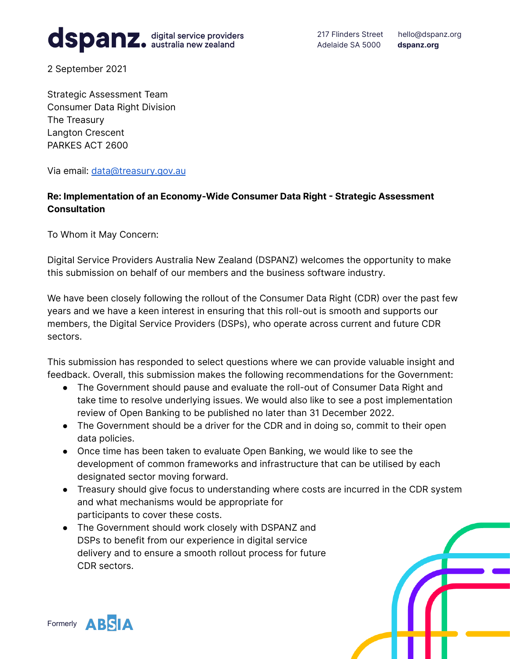# dspanz. digital service providers

217 Flinders Street hello@dspanz.org Adelaide SA 5000 **dspanz.org**

2 September 2021

Strategic Assessment Team Consumer Data Right Division The Treasury Langton Crescent PARKES ACT 2600

Via email: [data@treasury.gov.au](mailto:data@treasury.gov.au)

## **Re: Implementation of an Economy-Wide Consumer Data Right - Strategic Assessment Consultation**

To Whom it May Concern:

Digital Service Providers Australia New Zealand (DSPANZ) welcomes the opportunity to make this submission on behalf of our members and the business software industry.

We have been closely following the rollout of the Consumer Data Right (CDR) over the past few years and we have a keen interest in ensuring that this roll-out is smooth and supports our members, the Digital Service Providers (DSPs), who operate across current and future CDR sectors.

This submission has responded to select questions where we can provide valuable insight and feedback. Overall, this submission makes the following recommendations for the Government:

- The Government should pause and evaluate the roll-out of Consumer Data Right and take time to resolve underlying issues. We would also like to see a post implementation review of Open Banking to be published no later than 31 December 2022.
- The Government should be a driver for the CDR and in doing so, commit to their open data policies.
- Once time has been taken to evaluate Open Banking, we would like to see the development of common frameworks and infrastructure that can be utilised by each designated sector moving forward.
- Treasury should give focus to understanding where costs are incurred in the CDR system and what mechanisms would be appropriate for participants to cover these costs.
- The Government should work closely with DSPANZ and DSPs to benefit from our experience in digital service delivery and to ensure a smooth rollout process for future CDR sectors.

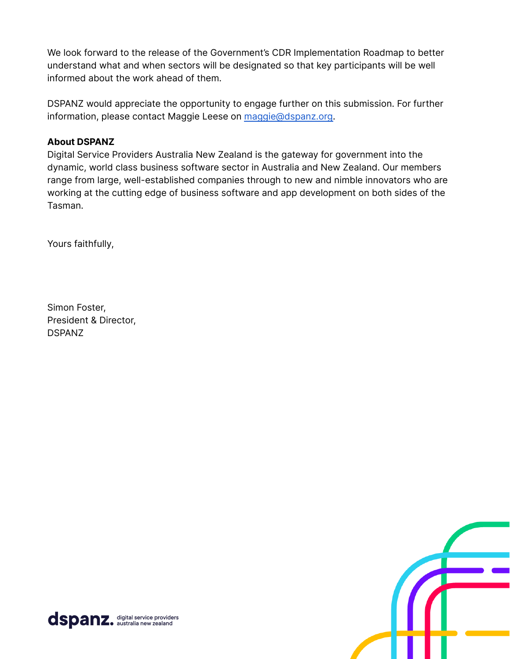We look forward to the release of the Government's CDR Implementation Roadmap to better understand what and when sectors will be designated so that key participants will be well informed about the work ahead of them.

DSPANZ would appreciate the opportunity to engage further on this submission. For further information, please contact Maggie Leese on [maggie@dspanz.org.](mailto:maggie@dspanz.org)

#### **About DSPANZ**

Digital Service Providers Australia New Zealand is the gateway for government into the dynamic, world class business software sector in Australia and New Zealand. Our members range from large, well-established companies through to new and nimble innovators who are working at the cutting edge of business software and app development on both sides of the Tasman.

Yours faithfully,

Simon Foster, President & Director, DSPANZ



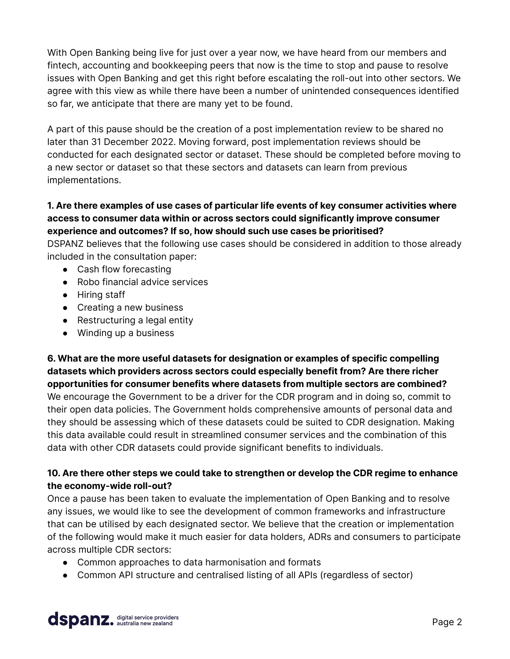With Open Banking being live for just over a year now, we have heard from our members and fintech, accounting and bookkeeping peers that now is the time to stop and pause to resolve issues with Open Banking and get this right before escalating the roll-out into other sectors. We agree with this view as while there have been a number of unintended consequences identified so far, we anticipate that there are many yet to be found.

A part of this pause should be the creation of a post implementation review to be shared no later than 31 December 2022. Moving forward, post implementation reviews should be conducted for each designated sector or dataset. These should be completed before moving to a new sector or dataset so that these sectors and datasets can learn from previous implementations.

## **1. Are there examples of use cases of particular life events of key consumer activities where access to consumer data within or across sectors could significantly improve consumer experience and outcomes? If so, how should such use cases be prioritised?**

DSPANZ believes that the following use cases should be considered in addition to those already included in the consultation paper:

- Cash flow forecasting
- Robo financial advice services
- Hiring staff
- Creating a new business
- Restructuring a legal entity
- Winding up a business

**6. What are the more useful datasets for designation or examples of specific compelling datasets which providers across sectors could especially benefit from? Are there richer opportunities for consumer benefits where datasets from multiple sectors are combined?** We encourage the Government to be a driver for the CDR program and in doing so, commit to their open data policies. The Government holds comprehensive amounts of personal data and they should be assessing which of these datasets could be suited to CDR designation. Making this data available could result in streamlined consumer services and the combination of this data with other CDR datasets could provide significant benefits to individuals.

#### **10. Are there other steps we could take to strengthen or develop the CDR regime to enhance the economy-wide roll-out?**

Once a pause has been taken to evaluate the implementation of Open Banking and to resolve any issues, we would like to see the development of common frameworks and infrastructure that can be utilised by each designated sector. We believe that the creation or implementation of the following would make it much easier for data holders, ADRs and consumers to participate across multiple CDR sectors:

- Common approaches to data harmonisation and formats
- Common API structure and centralised listing of all APIs (regardless of sector)